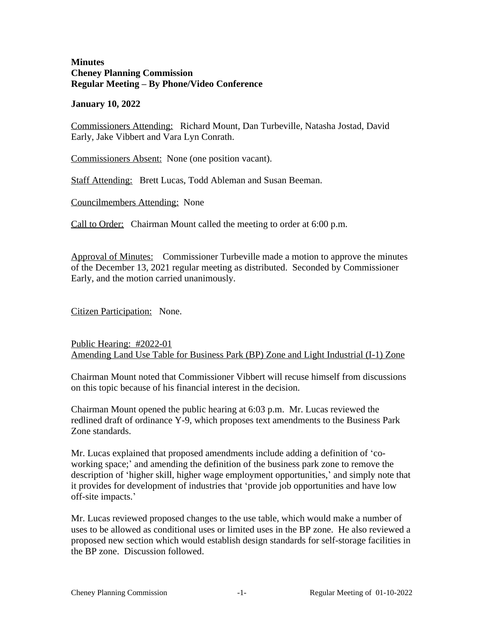#### **Minutes Cheney Planning Commission Regular Meeting – By Phone/Video Conference**

#### **January 10, 2022**

Commissioners Attending: Richard Mount, Dan Turbeville, Natasha Jostad, David Early, Jake Vibbert and Vara Lyn Conrath.

Commissioners Absent: None (one position vacant).

Staff Attending: Brett Lucas, Todd Ableman and Susan Beeman.

Councilmembers Attending: None

Call to Order: Chairman Mount called the meeting to order at 6:00 p.m.

Approval of Minutes: Commissioner Turbeville made a motion to approve the minutes of the December 13, 2021 regular meeting as distributed. Seconded by Commissioner Early, and the motion carried unanimously.

Citizen Participation: None.

## Public Hearing: #2022-01 Amending Land Use Table for Business Park (BP) Zone and Light Industrial (I-1) Zone

Chairman Mount noted that Commissioner Vibbert will recuse himself from discussions on this topic because of his financial interest in the decision.

Chairman Mount opened the public hearing at 6:03 p.m. Mr. Lucas reviewed the redlined draft of ordinance Y-9, which proposes text amendments to the Business Park Zone standards.

Mr. Lucas explained that proposed amendments include adding a definition of 'coworking space;' and amending the definition of the business park zone to remove the description of 'higher skill, higher wage employment opportunities,' and simply note that it provides for development of industries that 'provide job opportunities and have low off-site impacts.'

Mr. Lucas reviewed proposed changes to the use table, which would make a number of uses to be allowed as conditional uses or limited uses in the BP zone. He also reviewed a proposed new section which would establish design standards for self-storage facilities in the BP zone. Discussion followed.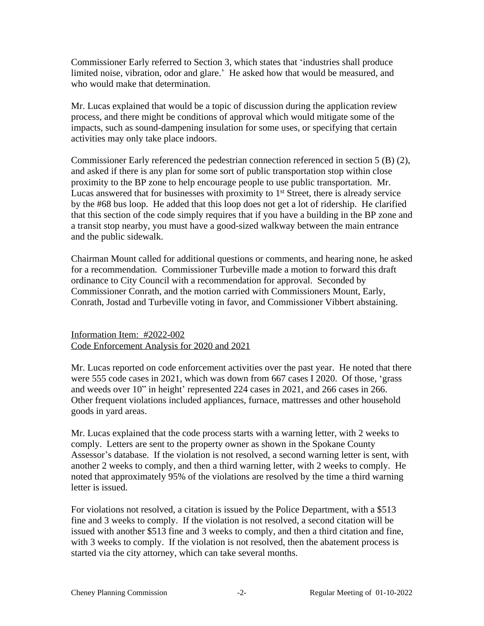Commissioner Early referred to Section 3, which states that 'industries shall produce limited noise, vibration, odor and glare.' He asked how that would be measured, and who would make that determination.

Mr. Lucas explained that would be a topic of discussion during the application review process, and there might be conditions of approval which would mitigate some of the impacts, such as sound-dampening insulation for some uses, or specifying that certain activities may only take place indoors.

Commissioner Early referenced the pedestrian connection referenced in section 5 (B) (2), and asked if there is any plan for some sort of public transportation stop within close proximity to the BP zone to help encourage people to use public transportation. Mr. Lucas answered that for businesses with proximity to  $1<sup>st</sup>$  Street, there is already service by the #68 bus loop. He added that this loop does not get a lot of ridership. He clarified that this section of the code simply requires that if you have a building in the BP zone and a transit stop nearby, you must have a good-sized walkway between the main entrance and the public sidewalk.

Chairman Mount called for additional questions or comments, and hearing none, he asked for a recommendation. Commissioner Turbeville made a motion to forward this draft ordinance to City Council with a recommendation for approval. Seconded by Commissioner Conrath, and the motion carried with Commissioners Mount, Early, Conrath, Jostad and Turbeville voting in favor, and Commissioner Vibbert abstaining.

## Information Item: #2022-002 Code Enforcement Analysis for 2020 and 2021

Mr. Lucas reported on code enforcement activities over the past year. He noted that there were 555 code cases in 2021, which was down from 667 cases I 2020. Of those, 'grass and weeds over 10" in height' represented 224 cases in 2021, and 266 cases in 266. Other frequent violations included appliances, furnace, mattresses and other household goods in yard areas.

Mr. Lucas explained that the code process starts with a warning letter, with 2 weeks to comply. Letters are sent to the property owner as shown in the Spokane County Assessor's database. If the violation is not resolved, a second warning letter is sent, with another 2 weeks to comply, and then a third warning letter, with 2 weeks to comply. He noted that approximately 95% of the violations are resolved by the time a third warning letter is issued.

For violations not resolved, a citation is issued by the Police Department, with a \$513 fine and 3 weeks to comply. If the violation is not resolved, a second citation will be issued with another \$513 fine and 3 weeks to comply, and then a third citation and fine, with 3 weeks to comply. If the violation is not resolved, then the abatement process is started via the city attorney, which can take several months.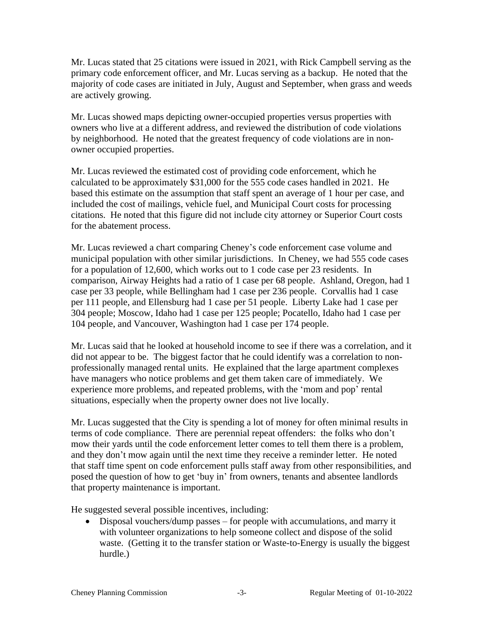Mr. Lucas stated that 25 citations were issued in 2021, with Rick Campbell serving as the primary code enforcement officer, and Mr. Lucas serving as a backup. He noted that the majority of code cases are initiated in July, August and September, when grass and weeds are actively growing.

Mr. Lucas showed maps depicting owner-occupied properties versus properties with owners who live at a different address, and reviewed the distribution of code violations by neighborhood. He noted that the greatest frequency of code violations are in nonowner occupied properties.

Mr. Lucas reviewed the estimated cost of providing code enforcement, which he calculated to be approximately \$31,000 for the 555 code cases handled in 2021. He based this estimate on the assumption that staff spent an average of 1 hour per case, and included the cost of mailings, vehicle fuel, and Municipal Court costs for processing citations. He noted that this figure did not include city attorney or Superior Court costs for the abatement process.

Mr. Lucas reviewed a chart comparing Cheney's code enforcement case volume and municipal population with other similar jurisdictions. In Cheney, we had 555 code cases for a population of 12,600, which works out to 1 code case per 23 residents. In comparison, Airway Heights had a ratio of 1 case per 68 people. Ashland, Oregon, had 1 case per 33 people, while Bellingham had 1 case per 236 people. Corvallis had 1 case per 111 people, and Ellensburg had 1 case per 51 people. Liberty Lake had 1 case per 304 people; Moscow, Idaho had 1 case per 125 people; Pocatello, Idaho had 1 case per 104 people, and Vancouver, Washington had 1 case per 174 people.

Mr. Lucas said that he looked at household income to see if there was a correlation, and it did not appear to be. The biggest factor that he could identify was a correlation to nonprofessionally managed rental units. He explained that the large apartment complexes have managers who notice problems and get them taken care of immediately. We experience more problems, and repeated problems, with the 'mom and pop' rental situations, especially when the property owner does not live locally.

Mr. Lucas suggested that the City is spending a lot of money for often minimal results in terms of code compliance. There are perennial repeat offenders: the folks who don't mow their yards until the code enforcement letter comes to tell them there is a problem, and they don't mow again until the next time they receive a reminder letter. He noted that staff time spent on code enforcement pulls staff away from other responsibilities, and posed the question of how to get 'buy in' from owners, tenants and absentee landlords that property maintenance is important.

He suggested several possible incentives, including:

 Disposal vouchers/dump passes – for people with accumulations, and marry it with volunteer organizations to help someone collect and dispose of the solid waste. (Getting it to the transfer station or Waste-to-Energy is usually the biggest hurdle.)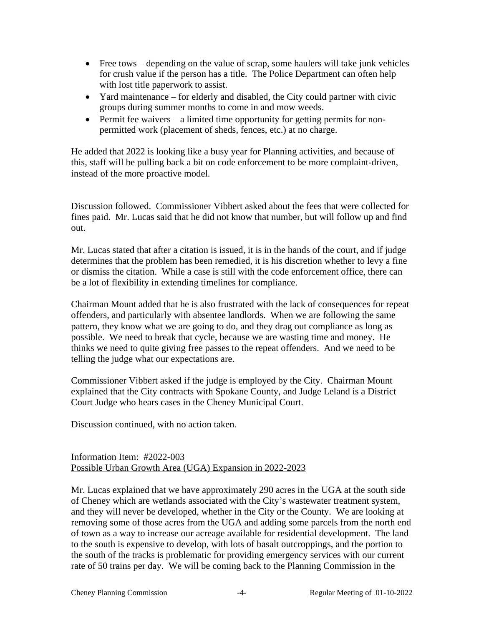- Free tows depending on the value of scrap, some haulers will take junk vehicles for crush value if the person has a title. The Police Department can often help with lost title paperwork to assist.
- Yard maintenance for elderly and disabled, the City could partner with civic groups during summer months to come in and mow weeds.
- Permit fee waivers a limited time opportunity for getting permits for nonpermitted work (placement of sheds, fences, etc.) at no charge.

He added that 2022 is looking like a busy year for Planning activities, and because of this, staff will be pulling back a bit on code enforcement to be more complaint-driven, instead of the more proactive model.

Discussion followed. Commissioner Vibbert asked about the fees that were collected for fines paid. Mr. Lucas said that he did not know that number, but will follow up and find out.

Mr. Lucas stated that after a citation is issued, it is in the hands of the court, and if judge determines that the problem has been remedied, it is his discretion whether to levy a fine or dismiss the citation. While a case is still with the code enforcement office, there can be a lot of flexibility in extending timelines for compliance.

Chairman Mount added that he is also frustrated with the lack of consequences for repeat offenders, and particularly with absentee landlords. When we are following the same pattern, they know what we are going to do, and they drag out compliance as long as possible. We need to break that cycle, because we are wasting time and money. He thinks we need to quite giving free passes to the repeat offenders. And we need to be telling the judge what our expectations are.

Commissioner Vibbert asked if the judge is employed by the City. Chairman Mount explained that the City contracts with Spokane County, and Judge Leland is a District Court Judge who hears cases in the Cheney Municipal Court.

Discussion continued, with no action taken.

# Information Item: #2022-003 Possible Urban Growth Area (UGA) Expansion in 2022-2023

Mr. Lucas explained that we have approximately 290 acres in the UGA at the south side of Cheney which are wetlands associated with the City's wastewater treatment system, and they will never be developed, whether in the City or the County. We are looking at removing some of those acres from the UGA and adding some parcels from the north end of town as a way to increase our acreage available for residential development. The land to the south is expensive to develop, with lots of basalt outcroppings, and the portion to the south of the tracks is problematic for providing emergency services with our current rate of 50 trains per day. We will be coming back to the Planning Commission in the